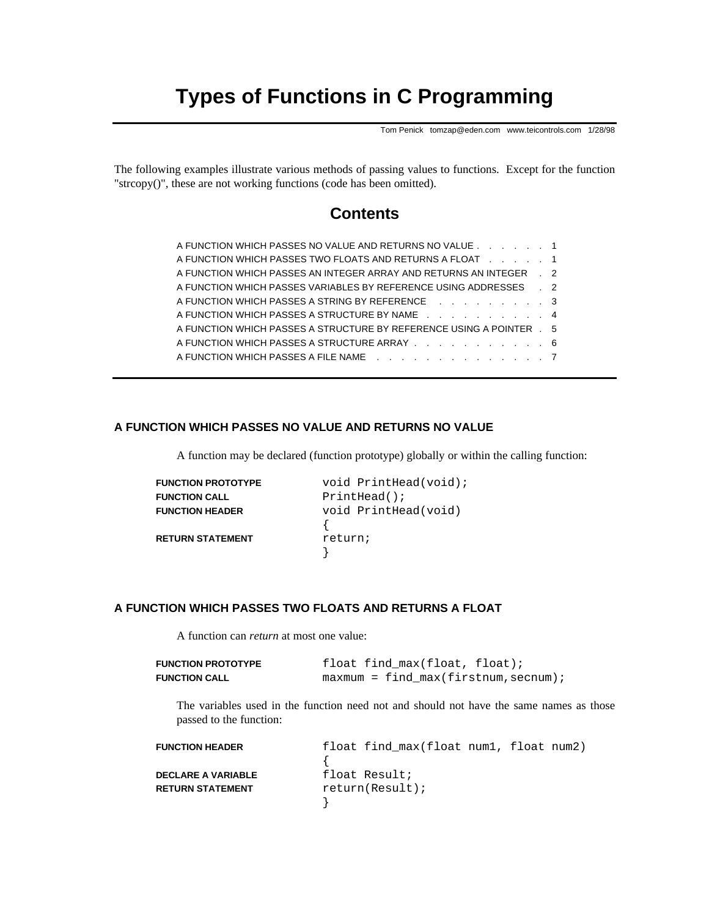# **Types of Functions in C Programming**

Tom Penick tomzap@eden.com www.teicontrols.com 1/28/98

The following examples illustrate various methods of passing values to functions. Except for the function "strcopy()", these are not working functions (code has been omitted).

## **Contents**

| A FUNCTION WHICH PASSES NO VALUE AND RETURNS NO VALUE 1                                      |  |
|----------------------------------------------------------------------------------------------|--|
| A FUNCTION WHICH PASSES TWO FLOATS AND RETURNS A FLOAT A LACK AND A LACK AND RETURNS A FLOAT |  |
| A FUNCTION WHICH PASSES AN INTEGER ARRAY AND RETURNS AN INTEGER . 2                          |  |
| A FUNCTION WHICH PASSES VARIABLES BY REFERENCE USING ADDRESSES . 2                           |  |
| A FUNCTION WHICH PASSES A STRING BY REFERENCE A Research Management Control of A             |  |
| A FUNCTION WHICH PASSES A STRUCTURE BY NAME 4                                                |  |
| A FUNCTION WHICH PASSES A STRUCTURE BY REFERENCE USING A POINTER . 5                         |  |
| A FUNCTION WHICH PASSES A STRUCTURE ARRAY 6                                                  |  |
| A FUNCTION WHICH PASSES A FILE NAME 7                                                        |  |
|                                                                                              |  |

#### **A FUNCTION WHICH PASSES NO VALUE AND RETURNS NO VALUE**

A function may be declared (function prototype) globally or within the calling function:

| void PrintHead(void); |
|-----------------------|
| $PrintHead()$ ;       |
| void PrintHead(void)  |
|                       |
| return;               |
|                       |
|                       |

#### **A FUNCTION WHICH PASSES TWO FLOATS AND RETURNS A FLOAT**

A function can *return* at most one value:

| <b>FUNCTION PROTOTYPE</b> | float find max(float, float);          |
|---------------------------|----------------------------------------|
| <b>FUNCTION CALL</b>      | $maxmum = find max(firstnum, secnum);$ |

The variables used in the function need not and should not have the same names as those passed to the function:

| <b>FUNCTION HEADER</b>    | float find max(float num1, float num2) |
|---------------------------|----------------------------------------|
|                           |                                        |
| <b>DECLARE A VARIABLE</b> | float Result;                          |
| <b>RETURN STATEMENT</b>   | return(Result);                        |
|                           |                                        |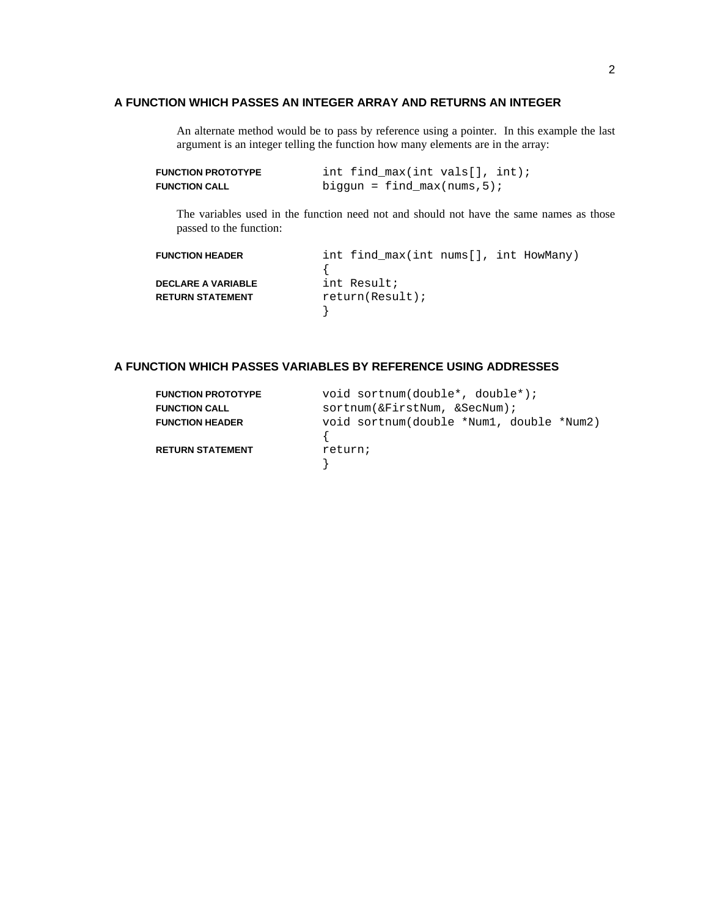#### **A FUNCTION WHICH PASSES AN INTEGER ARRAY AND RETURNS AN INTEGER**

An alternate method would be to pass by reference using a pointer. In this example the last argument is an integer telling the function how many elements are in the array:

| <b>FUNCTION PROTOTYPE</b> | int find $max(int vals[], int);$ |  |
|---------------------------|----------------------------------|--|
| <b>FUNCTION CALL</b>      | biggun = find $max(nums, 5)$ ;   |  |

The variables used in the function need not and should not have the same names as those passed to the function:

| <b>FUNCTION HEADER</b>    | int find_max(int nums[], int HowMany) |
|---------------------------|---------------------------------------|
|                           |                                       |
| <b>DECLARE A VARIABLE</b> | int Result;                           |
| <b>RETURN STATEMENT</b>   | return(Result);                       |
|                           |                                       |

### **A FUNCTION WHICH PASSES VARIABLES BY REFERENCE USING ADDRESSES**

| <b>FUNCTION PROTOTYPE</b> | void sortnum(double*, double*);          |
|---------------------------|------------------------------------------|
| <b>FUNCTION CALL</b>      | sortnum(&FirstNum, &SecNum);             |
| <b>FUNCTION HEADER</b>    | void sortnum(double *Num1, double *Num2) |
| <b>RETURN STATEMENT</b>   | return;                                  |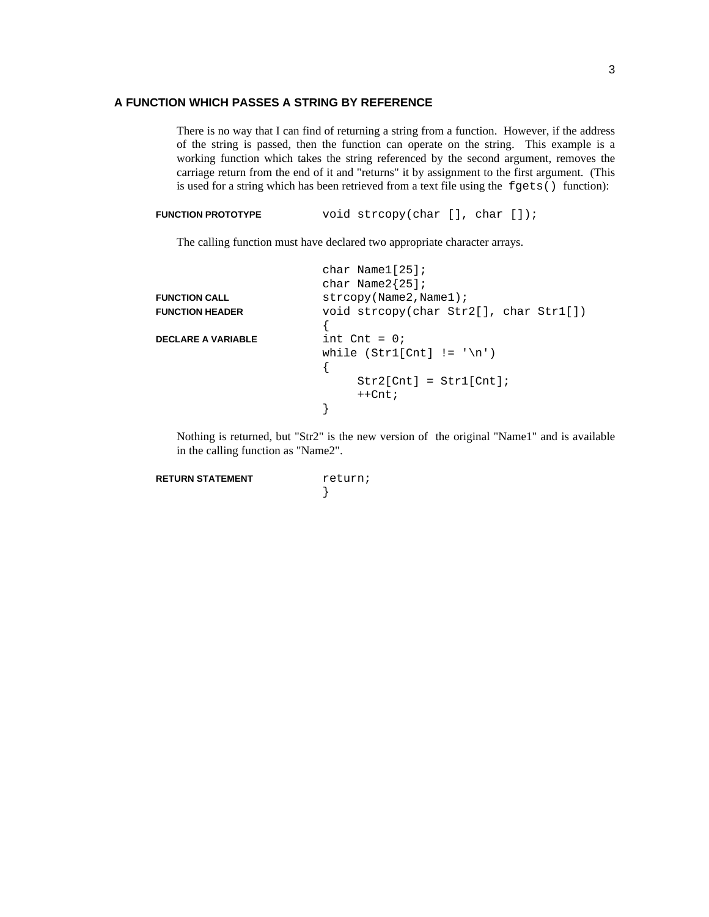#### **A FUNCTION WHICH PASSES A STRING BY REFERENCE**

There is no way that I can find of returning a string from a function. However, if the address of the string is passed, then the function can operate on the string. This example is a working function which takes the string referenced by the second argument, removes the carriage return from the end of it and "returns" it by assignment to the first argument. (This is used for a string which has been retrieved from a text file using the fgets () function):

```
FUNCTION PROTOTYPE void strcopy(char [], char []);
```
The calling function must have declared two appropriate character arrays.

|                           | char Name $1[25]$ ;                      |
|---------------------------|------------------------------------------|
|                           | char Name $2{25}$ ;                      |
| <b>FUNCTION CALL</b>      | strcopy(Name2,Name1);                    |
| <b>FUNCTION HEADER</b>    | void strcopy(char Str2[], char Str1[])   |
|                           |                                          |
| <b>DECLARE A VARIABLE</b> | int $\text{Cnt} = 0$                     |
|                           | while $(Str1[Cnt] := \lceil \ln \rceil)$ |
|                           |                                          |
|                           | $Str2[Cht] = Str1[Cht];$                 |
|                           | $++Cnt;$                                 |
|                           |                                          |

Nothing is returned, but "Str2" is the new version of the original "Name1" and is available in the calling function as "Name2".

**RETURN STATEMENT** return;

}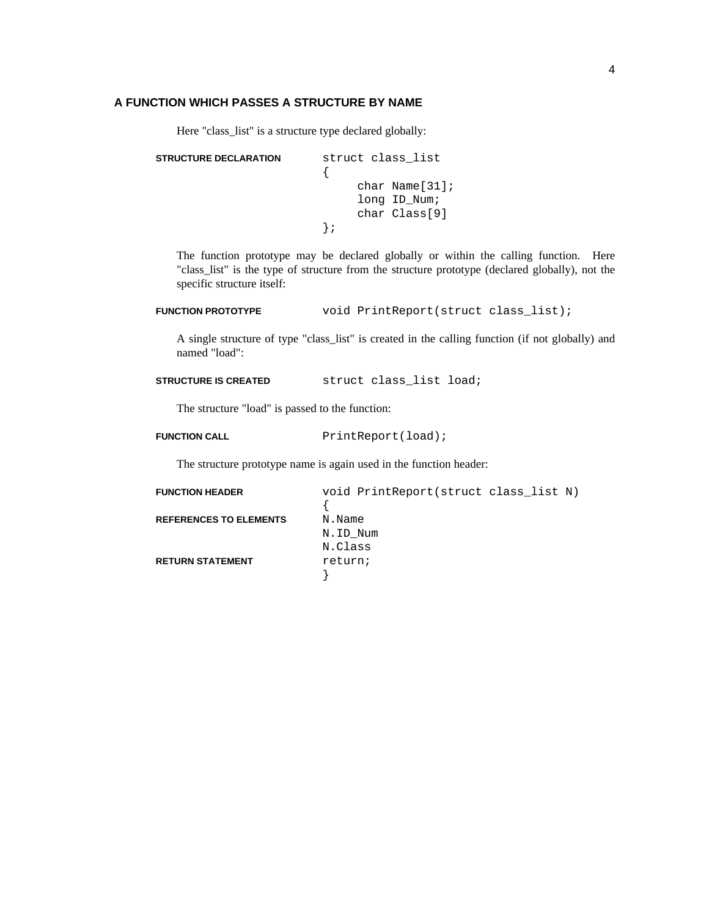#### **A FUNCTION WHICH PASSES A STRUCTURE BY NAME**

Here "class\_list" is a structure type declared globally:

```
STRUCTURE DECLARATION struct class_list
             {
                   char Name[31];
                   long ID_Num;
                   char Class[9]
             };
```
The function prototype may be declared globally or within the calling function. Here "class\_list" is the type of structure from the structure prototype (declared globally), not the specific structure itself:

```
FUNCTION PROTOTYPE void PrintReport(struct class_list);
```
A single structure of type "class\_list" is created in the calling function (if not globally) and named "load":

**STRUCTURE IS CREATED** struct class\_list load;

The structure "load" is passed to the function:

**FUNCTION CALL** PrintReport(load);

The structure prototype name is again used in the function header:

| <b>FUNCTION HEADER</b>        | void PrintReport(struct class list N) |
|-------------------------------|---------------------------------------|
|                               |                                       |
| <b>REFERENCES TO ELEMENTS</b> | N.Name                                |
|                               | N.ID Num                              |
|                               | N.Class                               |
| <b>RETURN STATEMENT</b>       | return;                               |
|                               |                                       |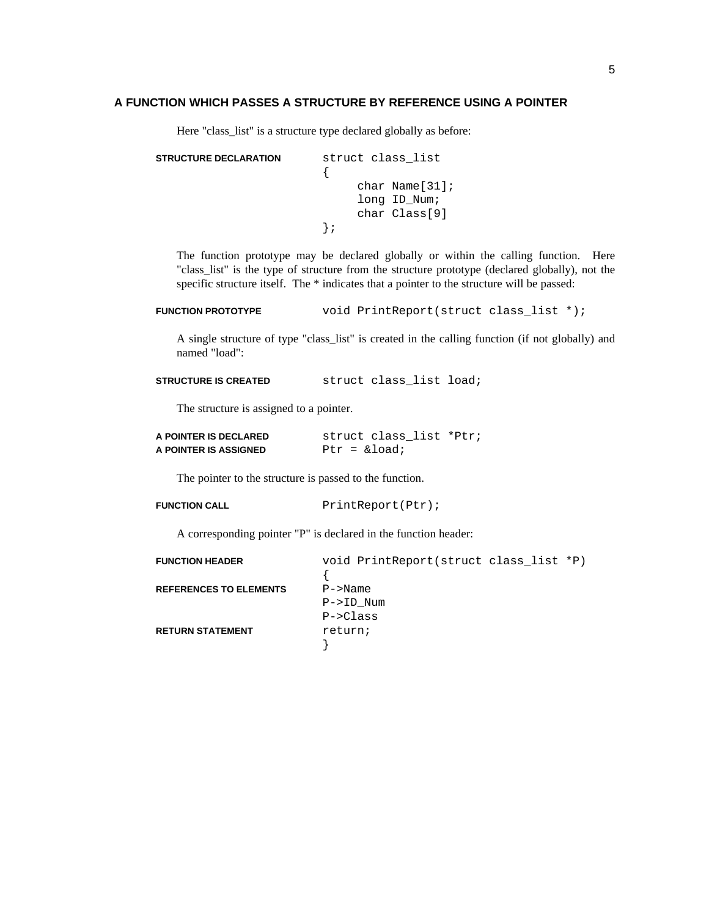#### **A FUNCTION WHICH PASSES A STRUCTURE BY REFERENCE USING A POINTER**

Here "class\_list" is a structure type declared globally as before:

```
STRUCTURE DECLARATION struct class_list
             {
                   char Name[31];
                   long ID_Num;
                   char Class[9]
             };
```
The function prototype may be declared globally or within the calling function. Here "class\_list" is the type of structure from the structure prototype (declared globally), not the specific structure itself. The \* indicates that a pointer to the structure will be passed:

```
FUNCTION PROTOTYPE void PrintReport(struct class_list *);
```
A single structure of type "class\_list" is created in the calling function (if not globally) and named "load":

**STRUCTURE IS CREATED** struct class\_list load;

The structure is assigned to a pointer.

| A POINTER IS DECLARED | struct class list *Ptr; |
|-----------------------|-------------------------|
| A POINTER IS ASSIGNED | Ptr = $\&$ load;        |

The pointer to the structure is passed to the function.

```
FUNCTION CALL PrintReport(Ptr);
```
A corresponding pointer "P" is declared in the function header:

| <b>FUNCTION HEADER</b>        | void PrintReport(struct class list *P) |  |
|-------------------------------|----------------------------------------|--|
|                               |                                        |  |
| <b>REFERENCES TO ELEMENTS</b> | $P->Name$                              |  |
|                               | P->ID Num                              |  |
|                               | $P->Class$                             |  |
| <b>RETURN STATEMENT</b>       | return;                                |  |
|                               |                                        |  |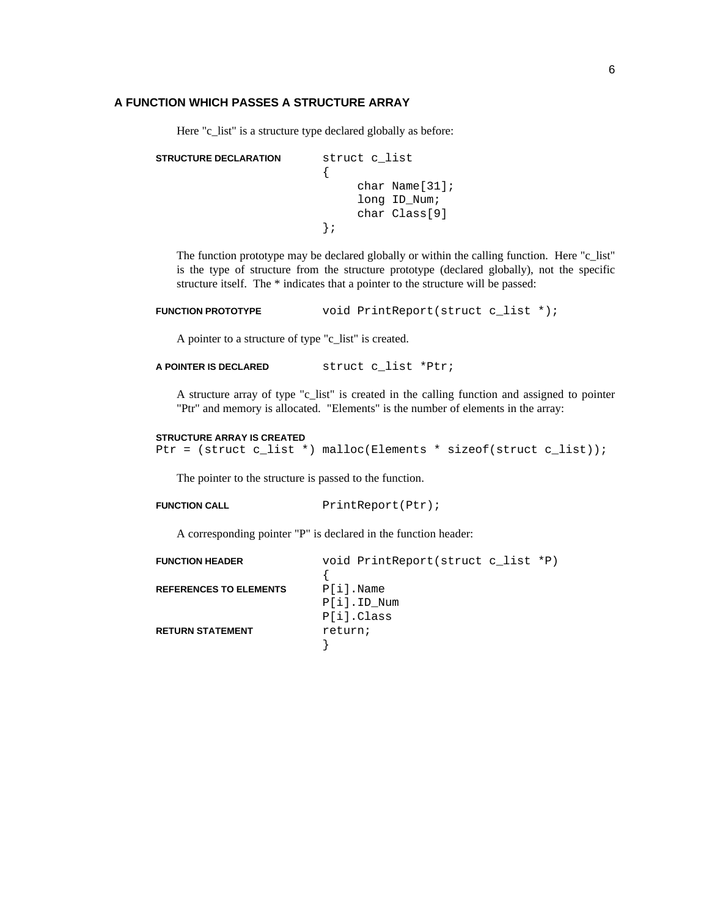#### **A FUNCTION WHICH PASSES A STRUCTURE ARRAY**

Here "c\_list" is a structure type declared globally as before:

```
STRUCTURE DECLARATION struct c_list
             {
                    char Name[31];
                   long ID_Num;
                    char Class[9]
             };
```
The function prototype may be declared globally or within the calling function. Here "c\_list" is the type of structure from the structure prototype (declared globally), not the specific structure itself. The \* indicates that a pointer to the structure will be passed:

```
FUNCTION PROTOTYPE void PrintReport(struct c_list *);
```
A pointer to a structure of type "c\_list" is created.

```
A POINTER IS DECLARED struct c_list *Ptr;
```
A structure array of type "c\_list" is created in the calling function and assigned to pointer "Ptr" and memory is allocated. "Elements" is the number of elements in the array:

#### **STRUCTURE ARRAY IS CREATED**

```
Ptr = (struct c_list *) malloc(Elements * sizeof(struct c_list));
```
The pointer to the structure is passed to the function.

```
FUNCTION CALL PrintReport(Ptr);
```
A corresponding pointer "P" is declared in the function header:

| <b>FUNCTION HEADER</b>        | void PrintReport(struct c list *P) |
|-------------------------------|------------------------------------|
|                               |                                    |
| <b>REFERENCES TO ELEMENTS</b> | $P[i]$ . Name                      |
|                               | P[i].ID Num                        |
|                               | P[i].Class                         |
| <b>RETURN STATEMENT</b>       | return;                            |
|                               |                                    |